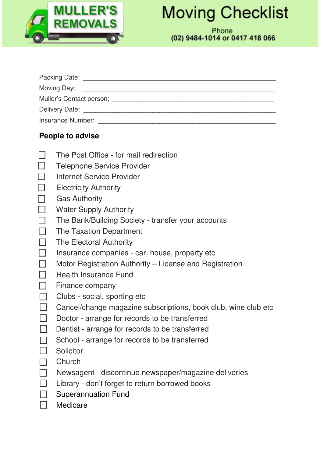

## **Moving Checklist**

Phone (02) 9484-1014 or 0417 418 066

| Packing Date: <u>National Packing</u> |
|---------------------------------------|
|                                       |
| Muller's Contact person:              |
|                                       |
| <b>Insurance Number:</b>              |

## **People to advise**

- $\sim$ The Post Office - for mail redirection
- **ISS** Telephone Service Provider
- Internet Service Provider
- $\sim$ Electricity Authority
- Gas Authority 133
- Water Supply Authority 131
- $\sim$ The Bank/Building Society - transfer your accounts
- **B** The Taxation Department
- **The Electoral Authority**
- Insurance companies car, house, property etc  $\mathcal{N}_{\mathcal{N}}$
- Motor Registration Authority License and Registration B.
- $\mathcal{L}_{\mathcal{A}}$ Health Insurance Fund
- $\Box$  Finance company
- $\Box$  Clubs social, sporting etc
- Cancel/change magazine subscriptions, book club, wine club etc
- Doctor arrange for records to be transferred
- Dentist arrange for records to be transferred
- $\Box$  School arrange for records to be transferred
- **N** Solicitor
- **Church**
- Newsagent discontinue newspaper/magazine deliveries
- E Library don't forget to return borrowed books
- **Superannuation Fund**
- **Nedicare**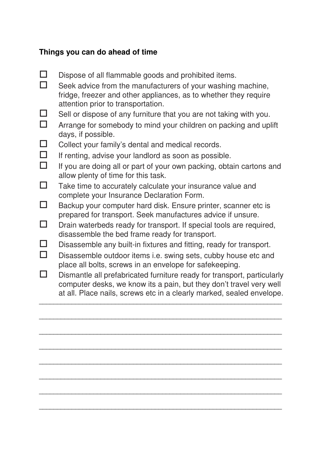## **Things you can do ahead of time**

- $\square$  Dispose of all flammable goods and prohibited items.
- $\Box$  Seek advice from the manufacturers of your washing machine, fridge, freezer and other appliances, as to whether they require attention prior to transportation.
- $\Box$  Sell or dispose of any furniture that you are not taking with you.
- $\Box$  Arrange for somebody to mind your children on packing and uplift days, if possible.
- $\Box$  Collect your family's dental and medical records.
- $\Box$  If renting, advise your landlord as soon as possible.
- $\Box$  If you are doing all or part of your own packing, obtain cartons and allow plenty of time for this task.
- $\Box$  Take time to accurately calculate your insurance value and complete your Insurance Declaration Form.
- $\Box$  Backup your computer hard disk. Ensure printer, scanner etc is prepared for transport. Seek manufactures advice if unsure.
- $\square$  Drain waterbeds ready for transport. If special tools are required, disassemble the bed frame ready for transport.
- $\square$  Disassemble any built-in fixtures and fitting, ready for transport.
- $\square$  Disassemble outdoor items i.e. swing sets, cubby house etc and place all bolts, screws in an envelope for safekeeping.
- $\square$  Dismantle all prefabricated furniture ready for transport, particularly computer desks, we know its a pain, but they don't travel very well at all. Place nails, screws etc in a clearly marked, sealed envelope.

\_\_\_\_\_\_\_\_\_\_\_\_\_\_\_\_\_\_\_\_\_\_\_\_\_\_\_\_\_\_\_\_\_\_\_\_\_\_\_\_\_\_\_\_\_\_\_\_\_\_\_\_\_\_\_\_\_\_\_\_\_\_\_\_\_\_\_

\_\_\_\_\_\_\_\_\_\_\_\_\_\_\_\_\_\_\_\_\_\_\_\_\_\_\_\_\_\_\_\_\_\_\_\_\_\_\_\_\_\_\_\_\_\_\_\_\_\_\_\_\_\_\_\_\_\_\_\_\_\_\_\_\_\_\_

\_\_\_\_\_\_\_\_\_\_\_\_\_\_\_\_\_\_\_\_\_\_\_\_\_\_\_\_\_\_\_\_\_\_\_\_\_\_\_\_\_\_\_\_\_\_\_\_\_\_\_\_\_\_\_\_\_\_\_\_\_\_\_\_\_\_\_

\_\_\_\_\_\_\_\_\_\_\_\_\_\_\_\_\_\_\_\_\_\_\_\_\_\_\_\_\_\_\_\_\_\_\_\_\_\_\_\_\_\_\_\_\_\_\_\_\_\_\_\_\_\_\_\_\_\_\_\_\_\_\_\_\_\_\_

\_\_\_\_\_\_\_\_\_\_\_\_\_\_\_\_\_\_\_\_\_\_\_\_\_\_\_\_\_\_\_\_\_\_\_\_\_\_\_\_\_\_\_\_\_\_\_\_\_\_\_\_\_\_\_\_\_\_\_\_\_\_\_\_\_\_\_

\_\_\_\_\_\_\_\_\_\_\_\_\_\_\_\_\_\_\_\_\_\_\_\_\_\_\_\_\_\_\_\_\_\_\_\_\_\_\_\_\_\_\_\_\_\_\_\_\_\_\_\_\_\_\_\_\_\_\_\_\_\_\_\_\_\_\_

\_\_\_\_\_\_\_\_\_\_\_\_\_\_\_\_\_\_\_\_\_\_\_\_\_\_\_\_\_\_\_\_\_\_\_\_\_\_\_\_\_\_\_\_\_\_\_\_\_\_\_\_\_\_\_\_\_\_\_\_\_\_\_\_\_\_\_

 $\overline{\phantom{a}}$  , and the contribution of the contribution of the contribution of the contribution of the contribution of the contribution of the contribution of the contribution of the contribution of the contribution of the